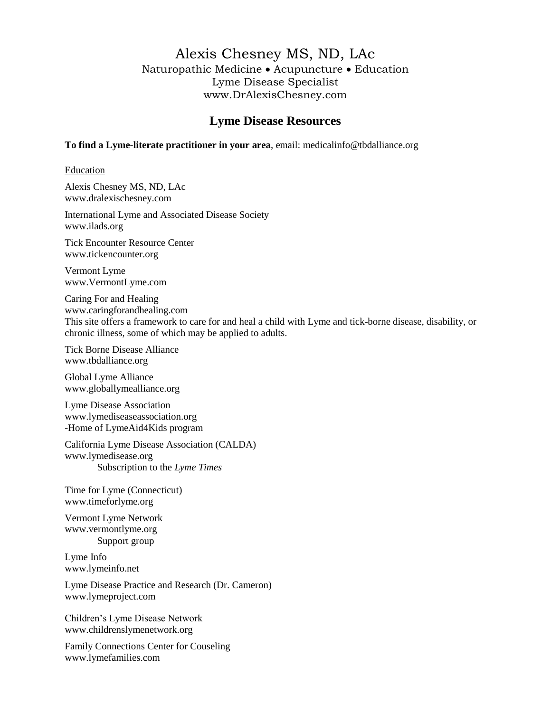# Alexis Chesney MS, ND, LAc Naturopathic Medicine Acupuncture Education Lyme Disease Specialist www.DrAlexisChesney.com

# **Lyme Disease Resources**

#### **To find a Lyme-literate practitioner in your area**, email: [medicalinfo@tbdalliance.org](mailto:medicalinfo@tbdalliance.org)

#### Education

Alexis Chesney MS, ND, LAc www.dralexischesney.com

International Lyme and Associated Disease Society [www.ilads.org](http://www.lymedisease.org/resources/weblinks.html)

Tick Encounter Resource Center www.tickencounter.org

Vermont Lyme [www.VermontLyme.com](http://www.vermontlyme.com/)

Caring For and Healing [www.caringforandhealing.com](http://www.caringforandhealing.com/) This site offers a framework to care for and heal a child with Lyme and tick-borne disease, disability, or chronic illness, some of which may be applied to adults.

Tick Borne Disease Alliance [www.tbdalliance.org](http://www.drupal.turnthecorner.org/)

Global Lyme Alliance www.globallymealliance.org

Lyme Disease Association [www.lymediseaseassociation.org](http://www.lymedisease.org/resources/weblinks.html) -Home of LymeAid4Kids program

California Lyme Disease Association (CALDA) www.lymedisease.org Subscription to the *Lyme Times*

Time for Lyme (Connecticut) [www.timeforlyme.org](http://www.lymedisease.org/resources/weblinks.html)

Vermont Lyme Network [www.vermontlyme.org](http://www.vermontlyme.org/) Support group

Lyme Info [www.lymeinfo.net](http://www.lymeinfo.net/)

Lyme Disease Practice and Research (Dr. Cameron) www.lymeproject.com

Children's Lyme Disease Network [www.childrenslymenetwork.org](http://www.childrenslymenetwork.org/)

Family Connections Center for Couseling [www.lymefamilies.com](http://www.lymefamilies.com/)